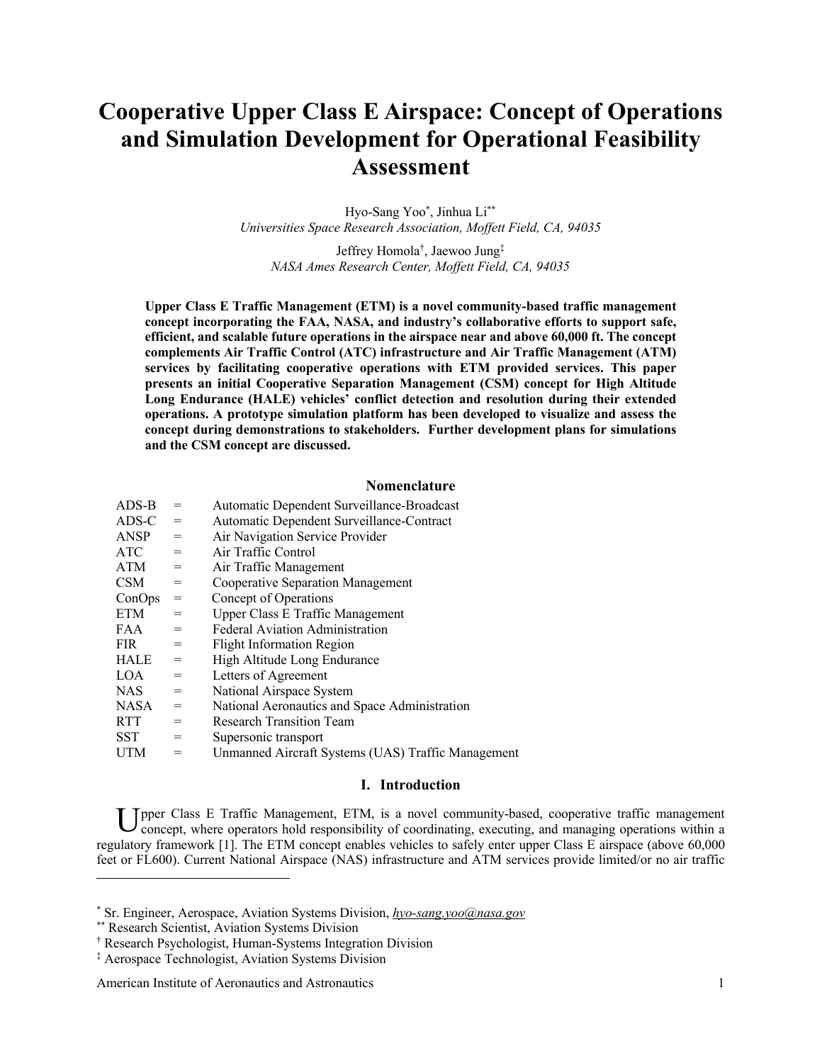# **Cooperative Upper Class E Airspace: Concept of Operations and Simulation Development for Operational Feasibility Assessment**

Hyo-Sang Yoo\* , Jinhua Li\*\* *Universities Space Research Association, Moffett Field, CA, 94035*

Jeffrey Homola† , Jaewoo Jung‡ *NASA Ames Research Center, Moffett Field, CA, 94035*

**Upper Class E Traffic Management (ETM) is a novel community-based traffic management concept incorporating the FAA, NASA, and industry's collaborative efforts to support safe, efficient, and scalable future operations in the airspace near and above 60,000 ft. The concept complements Air Traffic Control (ATC) infrastructure and Air Traffic Management (ATM) services by facilitating cooperative operations with ETM provided services. This paper presents an initial Cooperative Separation Management (CSM) concept for High Altitude Long Endurance (HALE) vehicles' conflict detection and resolution during their extended operations. A prototype simulation platform has been developed to visualize and assess the concept during demonstrations to stakeholders. Further development plans for simulations and the CSM concept are discussed.** 

# **Nomenclature**

| $ADS-B$     | $=$ | Automatic Dependent Surveillance-Broadcast         |
|-------------|-----|----------------------------------------------------|
| ADS-C       | $=$ | Automatic Dependent Surveillance-Contract          |
| <b>ANSP</b> | $=$ | Air Navigation Service Provider                    |
| ATC         | $=$ | Air Traffic Control                                |
| ATM         | $=$ | Air Traffic Management                             |
| <b>CSM</b>  | $=$ | Cooperative Separation Management                  |
| ConOps      | $=$ | Concept of Operations                              |
| ETM         | $=$ | Upper Class E Traffic Management                   |
| FAA         | $=$ | <b>Federal Aviation Administration</b>             |
| <b>FIR</b>  | $=$ | <b>Flight Information Region</b>                   |
| HALE        | $=$ | High Altitude Long Endurance                       |
| LOA.        | $=$ | Letters of Agreement                               |
| NAS         | $=$ | National Airspace System                           |
| <b>NASA</b> | $=$ | National Aeronautics and Space Administration      |
| <b>RTT</b>  | $=$ | <b>Research Transition Team</b>                    |
| <b>SST</b>  | $=$ | Supersonic transport                               |
| <b>UTM</b>  | $=$ | Unmanned Aircraft Systems (UAS) Traffic Management |

# **I. Introduction**

U pper Class E Traffic Management, ETM, is a novel community-based, cooperative traffic management concept, where operators hold responsibility of coordinating, executing, and managing operations within a concept, where operators hold responsibility of coordinating, executing, and managing operations within a regulatory framework [1]. The ETM concept enables vehicles to safely enter upper Class E airspace (above 60,000 feet or FL600). Current National Airspace (NAS) infrastructure and ATM services provide limited/or no air traffic

<sup>\*</sup> Sr. Engineer, Aerospace, Aviation Systems Division, *hyo-sang.yoo@nasa.gov*

<sup>\*\*</sup> Research Scientist, Aviation Systems Division

<sup>†</sup> Research Psychologist, Human-Systems Integration Division

<sup>‡</sup> Aerospace Technologist, Aviation Systems Division

American Institute of Aeronautics and Astronautics 1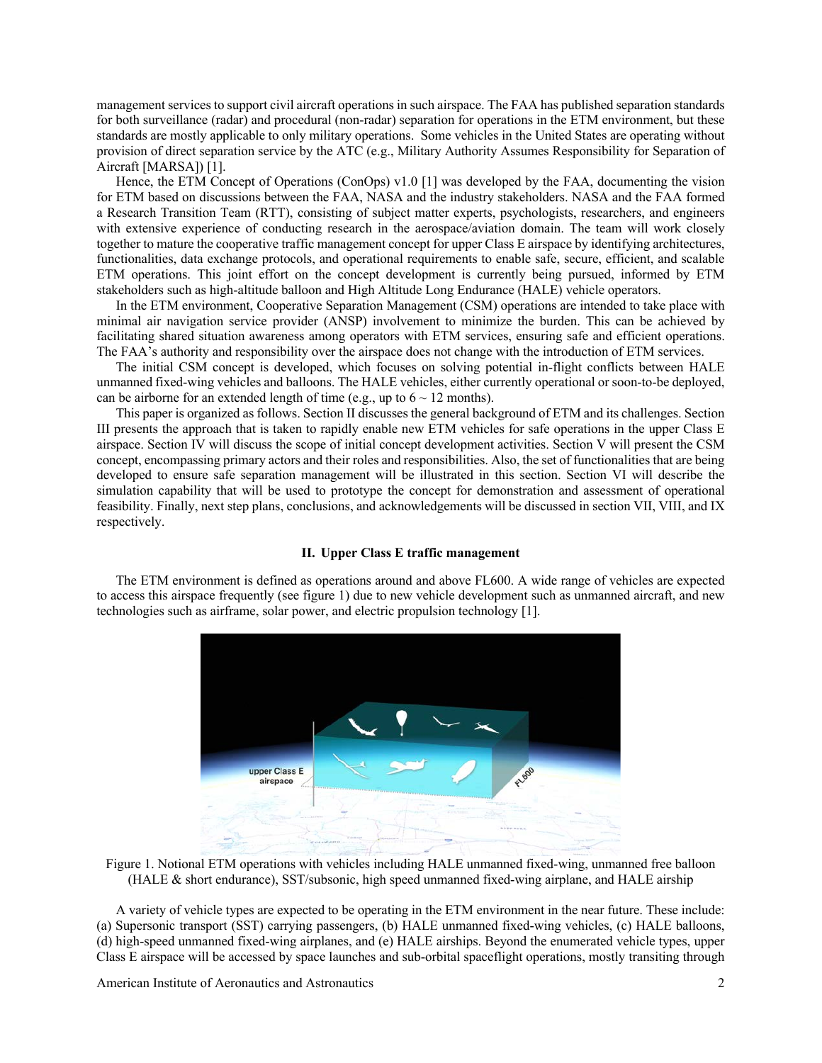management services to support civil aircraft operations in such airspace. The FAA has published separation standards for both surveillance (radar) and procedural (non-radar) separation for operations in the ETM environment, but these standards are mostly applicable to only military operations. Some vehicles in the United States are operating without provision of direct separation service by the ATC (e.g., Military Authority Assumes Responsibility for Separation of Aircraft [MARSA]) [1].

Hence, the ETM Concept of Operations (ConOps) v1.0 [1] was developed by the FAA, documenting the vision for ETM based on discussions between the FAA, NASA and the industry stakeholders. NASA and the FAA formed a Research Transition Team (RTT), consisting of subject matter experts, psychologists, researchers, and engineers with extensive experience of conducting research in the aerospace/aviation domain. The team will work closely together to mature the cooperative traffic management concept for upper Class E airspace by identifying architectures, functionalities, data exchange protocols, and operational requirements to enable safe, secure, efficient, and scalable ETM operations. This joint effort on the concept development is currently being pursued, informed by ETM stakeholders such as high-altitude balloon and High Altitude Long Endurance (HALE) vehicle operators.

In the ETM environment, Cooperative Separation Management (CSM) operations are intended to take place with minimal air navigation service provider (ANSP) involvement to minimize the burden. This can be achieved by facilitating shared situation awareness among operators with ETM services, ensuring safe and efficient operations. The FAA's authority and responsibility over the airspace does not change with the introduction of ETM services.

The initial CSM concept is developed, which focuses on solving potential in-flight conflicts between HALE unmanned fixed-wing vehicles and balloons. The HALE vehicles, either currently operational or soon-to-be deployed, can be airborne for an extended length of time (e.g., up to  $6 \sim 12$  months).

This paper is organized as follows. Section II discusses the general background of ETM and its challenges. Section III presents the approach that is taken to rapidly enable new ETM vehicles for safe operations in the upper Class E airspace. Section IV will discuss the scope of initial concept development activities. Section V will present the CSM concept, encompassing primary actors and their roles and responsibilities. Also, the set of functionalities that are being developed to ensure safe separation management will be illustrated in this section. Section VI will describe the simulation capability that will be used to prototype the concept for demonstration and assessment of operational feasibility. Finally, next step plans, conclusions, and acknowledgements will be discussed in section VII, VIII, and IX respectively.

# **II. Upper Class E traffic management**

The ETM environment is defined as operations around and above FL600. A wide range of vehicles are expected to access this airspace frequently (see figure 1) due to new vehicle development such as unmanned aircraft, and new technologies such as airframe, solar power, and electric propulsion technology [1].



Figure 1. Notional ETM operations with vehicles including HALE unmanned fixed-wing, unmanned free balloon (HALE & short endurance), SST/subsonic, high speed unmanned fixed-wing airplane, and HALE airship

A variety of vehicle types are expected to be operating in the ETM environment in the near future. These include: (a) Supersonic transport (SST) carrying passengers, (b) HALE unmanned fixed-wing vehicles, (c) HALE balloons, (d) high-speed unmanned fixed-wing airplanes, and (e) HALE airships. Beyond the enumerated vehicle types, upper Class E airspace will be accessed by space launches and sub-orbital spaceflight operations, mostly transiting through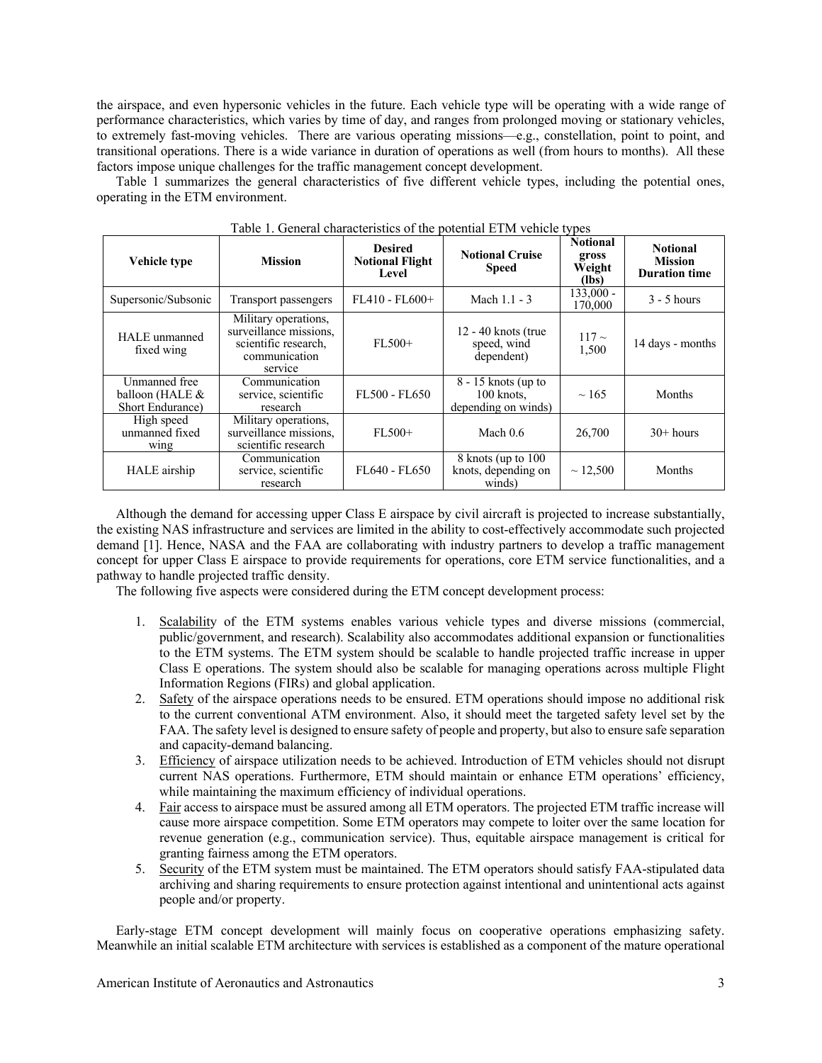the airspace, and even hypersonic vehicles in the future. Each vehicle type will be operating with a wide range of performance characteristics, which varies by time of day, and ranges from prolonged moving or stationary vehicles, to extremely fast-moving vehicles. There are various operating missions—e.g., constellation, point to point, and transitional operations. There is a wide variance in duration of operations as well (from hours to months). All these factors impose unique challenges for the traffic management concept development.

Table 1 summarizes the general characteristics of five different vehicle types, including the potential ones, operating in the ETM environment.

| Vehicle type                                         | <b>Mission</b>                                                                                     | <b>Desired</b><br><b>Notional Flight</b><br>Level | <b>Notional Cruise</b><br><b>Speed</b>                       | <b>Notional</b><br>gross<br>Weight<br>(lbs) | <b>Notional</b><br><b>Mission</b><br><b>Duration time</b> |
|------------------------------------------------------|----------------------------------------------------------------------------------------------------|---------------------------------------------------|--------------------------------------------------------------|---------------------------------------------|-----------------------------------------------------------|
| Supersonic/Subsonic                                  | Transport passengers                                                                               | $FL410 - FL600+$                                  | Mach $1.1 - 3$                                               | $133,000 -$<br>170,000                      | $3 - 5$ hours                                             |
| HALE unmanned<br>fixed wing                          | Military operations,<br>surveillance missions,<br>scientific research,<br>communication<br>service | $FL500+$                                          | $12 - 40$ knots (true<br>speed, wind<br>dependent)           | $117-$<br>1,500                             | 14 days - months                                          |
| Unmanned free<br>balloon (HALE &<br>Short Endurance) | Communication<br>service, scientific<br>research                                                   | FL500 - FL650                                     | $8 - 15$ knots (up to<br>$100$ knots,<br>depending on winds) | $\sim$ 165                                  | Months                                                    |
| High speed<br>unmanned fixed<br>wing                 | Military operations,<br>surveillance missions,<br>scientific research                              | $FL500+$                                          | Mach $0.6$                                                   | 26,700                                      | $30+$ hours                                               |
| HALE airship                                         | Communication<br>service, scientific<br>research                                                   | FL640 - FL650                                     | 8 knots (up to 100)<br>knots, depending on<br>winds)         | $\sim$ 12,500                               | Months                                                    |

Table 1. General characteristics of the potential ETM vehicle types

Although the demand for accessing upper Class E airspace by civil aircraft is projected to increase substantially, the existing NAS infrastructure and services are limited in the ability to cost-effectively accommodate such projected demand [1]. Hence, NASA and the FAA are collaborating with industry partners to develop a traffic management concept for upper Class E airspace to provide requirements for operations, core ETM service functionalities, and a pathway to handle projected traffic density.

The following five aspects were considered during the ETM concept development process:

- 1. Scalability of the ETM systems enables various vehicle types and diverse missions (commercial, public/government, and research). Scalability also accommodates additional expansion or functionalities to the ETM systems. The ETM system should be scalable to handle projected traffic increase in upper Class E operations. The system should also be scalable for managing operations across multiple Flight Information Regions (FIRs) and global application.
- 2. Safety of the airspace operations needs to be ensured. ETM operations should impose no additional risk to the current conventional ATM environment. Also, it should meet the targeted safety level set by the FAA. The safety level is designed to ensure safety of people and property, but also to ensure safe separation and capacity-demand balancing.
- 3. Efficiency of airspace utilization needs to be achieved. Introduction of ETM vehicles should not disrupt current NAS operations. Furthermore, ETM should maintain or enhance ETM operations' efficiency, while maintaining the maximum efficiency of individual operations.
- 4. Fair access to airspace must be assured among all ETM operators. The projected ETM traffic increase will cause more airspace competition. Some ETM operators may compete to loiter over the same location for revenue generation (e.g., communication service). Thus, equitable airspace management is critical for granting fairness among the ETM operators.
- 5. Security of the ETM system must be maintained. The ETM operators should satisfy FAA-stipulated data archiving and sharing requirements to ensure protection against intentional and unintentional acts against people and/or property.

Early-stage ETM concept development will mainly focus on cooperative operations emphasizing safety. Meanwhile an initial scalable ETM architecture with services is established as a component of the mature operational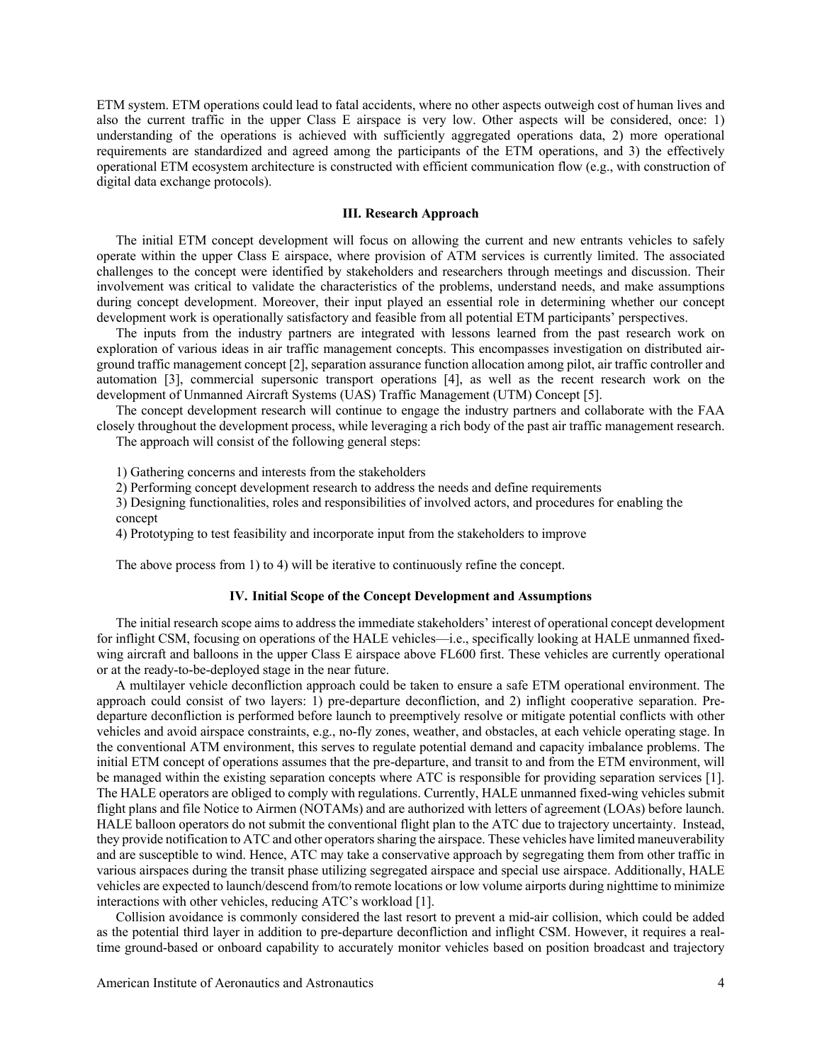ETM system. ETM operations could lead to fatal accidents, where no other aspects outweigh cost of human lives and also the current traffic in the upper Class E airspace is very low. Other aspects will be considered, once: 1) understanding of the operations is achieved with sufficiently aggregated operations data, 2) more operational requirements are standardized and agreed among the participants of the ETM operations, and 3) the effectively operational ETM ecosystem architecture is constructed with efficient communication flow (e.g., with construction of digital data exchange protocols).

### **III. Research Approach**

The initial ETM concept development will focus on allowing the current and new entrants vehicles to safely operate within the upper Class E airspace, where provision of ATM services is currently limited. The associated challenges to the concept were identified by stakeholders and researchers through meetings and discussion. Their involvement was critical to validate the characteristics of the problems, understand needs, and make assumptions during concept development. Moreover, their input played an essential role in determining whether our concept development work is operationally satisfactory and feasible from all potential ETM participants' perspectives.

The inputs from the industry partners are integrated with lessons learned from the past research work on exploration of various ideas in air traffic management concepts. This encompasses investigation on distributed airground traffic management concept [2], separation assurance function allocation among pilot, air traffic controller and automation [3], commercial supersonic transport operations [4], as well as the recent research work on the development of Unmanned Aircraft Systems (UAS) Traffic Management (UTM) Concept [5].

The concept development research will continue to engage the industry partners and collaborate with the FAA closely throughout the development process, while leveraging a rich body of the past air traffic management research. The approach will consist of the following general steps:

1) Gathering concerns and interests from the stakeholders

2) Performing concept development research to address the needs and define requirements

3) Designing functionalities, roles and responsibilities of involved actors, and procedures for enabling the concept

4) Prototyping to test feasibility and incorporate input from the stakeholders to improve

The above process from 1) to 4) will be iterative to continuously refine the concept.

## **IV. Initial Scope of the Concept Development and Assumptions**

The initial research scope aims to address the immediate stakeholders' interest of operational concept development for inflight CSM, focusing on operations of the HALE vehicles—i.e., specifically looking at HALE unmanned fixedwing aircraft and balloons in the upper Class E airspace above FL600 first. These vehicles are currently operational or at the ready-to-be-deployed stage in the near future.

A multilayer vehicle deconfliction approach could be taken to ensure a safe ETM operational environment. The approach could consist of two layers: 1) pre-departure deconfliction, and 2) inflight cooperative separation. Predeparture deconfliction is performed before launch to preemptively resolve or mitigate potential conflicts with other vehicles and avoid airspace constraints, e.g., no-fly zones, weather, and obstacles, at each vehicle operating stage. In the conventional ATM environment, this serves to regulate potential demand and capacity imbalance problems. The initial ETM concept of operations assumes that the pre-departure, and transit to and from the ETM environment, will be managed within the existing separation concepts where ATC is responsible for providing separation services [1]. The HALE operators are obliged to comply with regulations. Currently, HALE unmanned fixed-wing vehicles submit flight plans and file Notice to Airmen (NOTAMs) and are authorized with letters of agreement (LOAs) before launch. HALE balloon operators do not submit the conventional flight plan to the ATC due to trajectory uncertainty. Instead, they provide notification to ATC and other operators sharing the airspace. These vehicles have limited maneuverability and are susceptible to wind. Hence, ATC may take a conservative approach by segregating them from other traffic in various airspaces during the transit phase utilizing segregated airspace and special use airspace. Additionally, HALE vehicles are expected to launch/descend from/to remote locations or low volume airports during nighttime to minimize interactions with other vehicles, reducing ATC's workload [1].

Collision avoidance is commonly considered the last resort to prevent a mid-air collision, which could be added as the potential third layer in addition to pre-departure deconfliction and inflight CSM. However, it requires a realtime ground-based or onboard capability to accurately monitor vehicles based on position broadcast and trajectory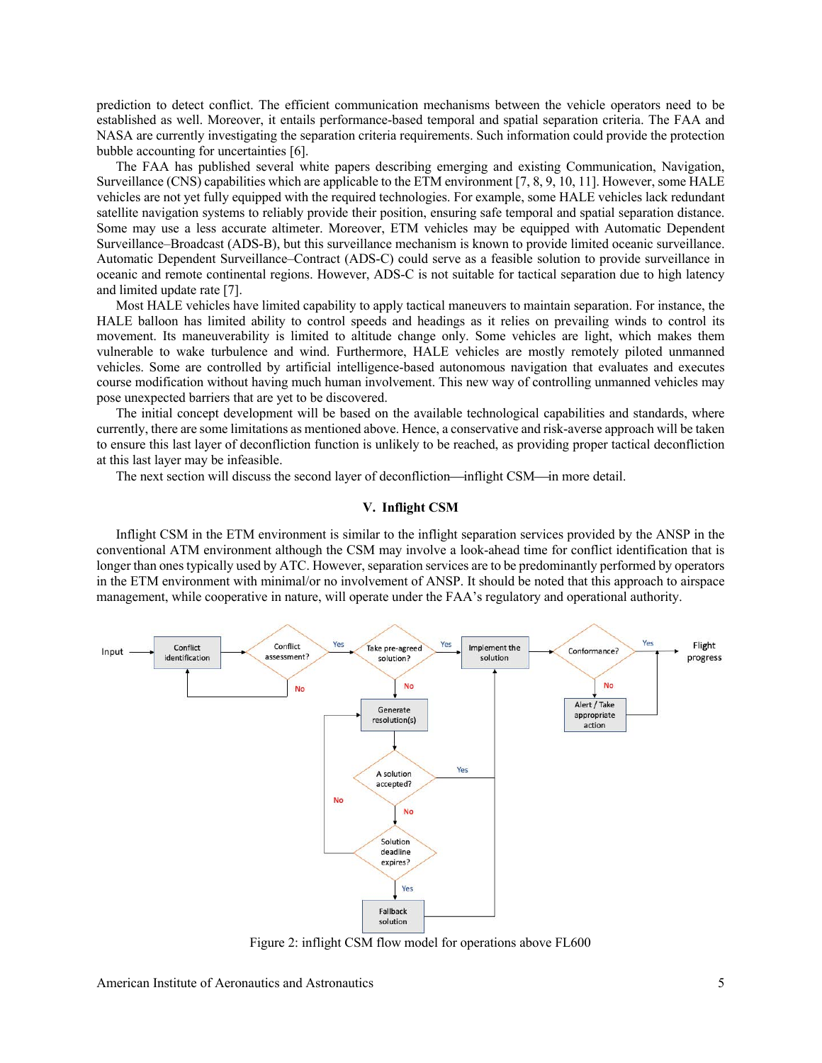prediction to detect conflict. The efficient communication mechanisms between the vehicle operators need to be established as well. Moreover, it entails performance-based temporal and spatial separation criteria. The FAA and NASA are currently investigating the separation criteria requirements. Such information could provide the protection bubble accounting for uncertainties [6].

The FAA has published several white papers describing emerging and existing Communication, Navigation, Surveillance (CNS) capabilities which are applicable to the ETM environment [7, 8, 9, 10, 11]. However, some HALE vehicles are not yet fully equipped with the required technologies. For example, some HALE vehicles lack redundant satellite navigation systems to reliably provide their position, ensuring safe temporal and spatial separation distance. Some may use a less accurate altimeter. Moreover, ETM vehicles may be equipped with Automatic Dependent Surveillance–Broadcast (ADS-B), but this surveillance mechanism is known to provide limited oceanic surveillance. Automatic Dependent Surveillance–Contract (ADS-C) could serve as a feasible solution to provide surveillance in oceanic and remote continental regions. However, ADS-C is not suitable for tactical separation due to high latency and limited update rate [7].

Most HALE vehicles have limited capability to apply tactical maneuvers to maintain separation. For instance, the HALE balloon has limited ability to control speeds and headings as it relies on prevailing winds to control its movement. Its maneuverability is limited to altitude change only. Some vehicles are light, which makes them vulnerable to wake turbulence and wind. Furthermore, HALE vehicles are mostly remotely piloted unmanned vehicles. Some are controlled by artificial intelligence-based autonomous navigation that evaluates and executes course modification without having much human involvement. This new way of controlling unmanned vehicles may pose unexpected barriers that are yet to be discovered.

The initial concept development will be based on the available technological capabilities and standards, where currently, there are some limitations as mentioned above. Hence, a conservative and risk-averse approach will be taken to ensure this last layer of deconfliction function is unlikely to be reached, as providing proper tactical deconfliction at this last layer may be infeasible.

The next section will discuss the second layer of deconfliction—inflight CSM—in more detail.

# **V. Inflight CSM**

Inflight CSM in the ETM environment is similar to the inflight separation services provided by the ANSP in the conventional ATM environment although the CSM may involve a look-ahead time for conflict identification that is longer than ones typically used by ATC. However, separation services are to be predominantly performed by operators in the ETM environment with minimal/or no involvement of ANSP. It should be noted that this approach to airspace management, while cooperative in nature, will operate under the FAA's regulatory and operational authority.



Figure 2: inflight CSM flow model for operations above FL600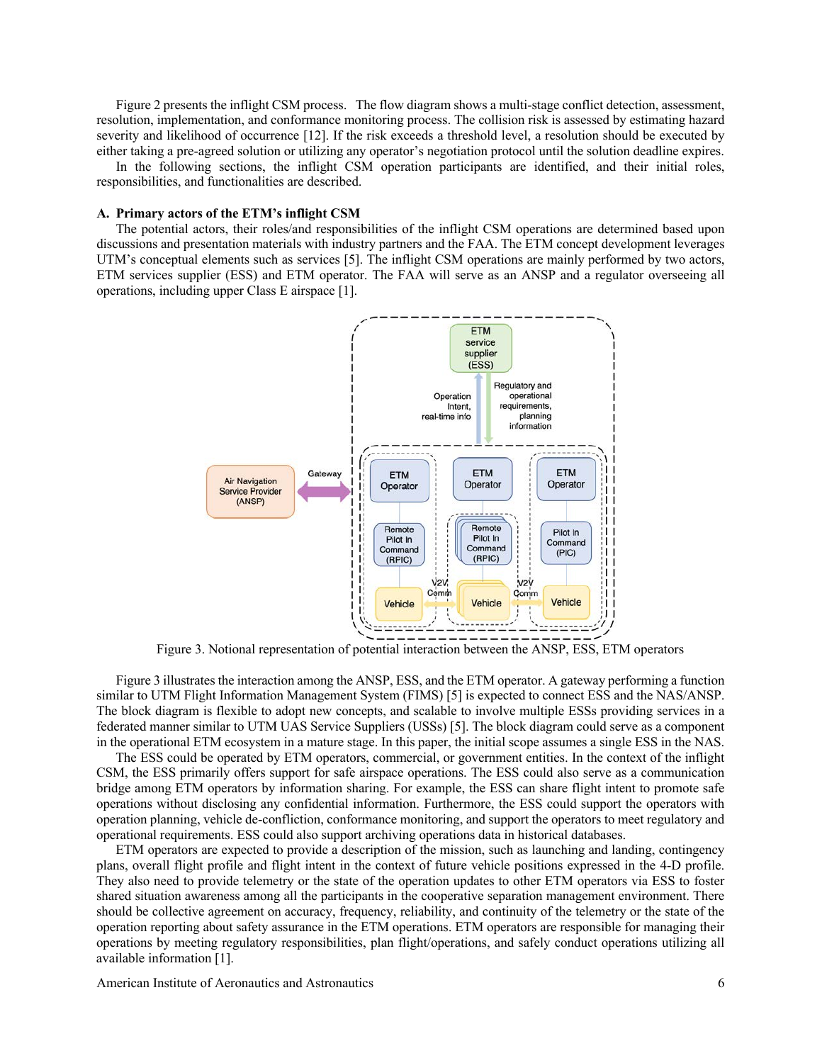Figure 2 presents the inflight CSM process. The flow diagram shows a multi-stage conflict detection, assessment, resolution, implementation, and conformance monitoring process. The collision risk is assessed by estimating hazard severity and likelihood of occurrence [12]. If the risk exceeds a threshold level, a resolution should be executed by either taking a pre-agreed solution or utilizing any operator's negotiation protocol until the solution deadline expires.

In the following sections, the inflight CSM operation participants are identified, and their initial roles, responsibilities, and functionalities are described.

#### **A. Primary actors of the ETM's inflight CSM**

The potential actors, their roles/and responsibilities of the inflight CSM operations are determined based upon discussions and presentation materials with industry partners and the FAA. The ETM concept development leverages UTM's conceptual elements such as services [5]. The inflight CSM operations are mainly performed by two actors, ETM services supplier (ESS) and ETM operator. The FAA will serve as an ANSP and a regulator overseeing all operations, including upper Class E airspace [1].



Figure 3. Notional representation of potential interaction between the ANSP, ESS, ETM operators

Figure 3 illustrates the interaction among the ANSP, ESS, and the ETM operator. A gateway performing a function similar to UTM Flight Information Management System (FIMS) [5] is expected to connect ESS and the NAS/ANSP. The block diagram is flexible to adopt new concepts, and scalable to involve multiple ESSs providing services in a federated manner similar to UTM UAS Service Suppliers (USSs) [5]. The block diagram could serve as a component in the operational ETM ecosystem in a mature stage. In this paper, the initial scope assumes a single ESS in the NAS.

The ESS could be operated by ETM operators, commercial, or government entities. In the context of the inflight CSM, the ESS primarily offers support for safe airspace operations. The ESS could also serve as a communication bridge among ETM operators by information sharing. For example, the ESS can share flight intent to promote safe operations without disclosing any confidential information. Furthermore, the ESS could support the operators with operation planning, vehicle de-confliction, conformance monitoring, and support the operators to meet regulatory and operational requirements. ESS could also support archiving operations data in historical databases.

ETM operators are expected to provide a description of the mission, such as launching and landing, contingency plans, overall flight profile and flight intent in the context of future vehicle positions expressed in the 4-D profile. They also need to provide telemetry or the state of the operation updates to other ETM operators via ESS to foster shared situation awareness among all the participants in the cooperative separation management environment. There should be collective agreement on accuracy, frequency, reliability, and continuity of the telemetry or the state of the operation reporting about safety assurance in the ETM operations. ETM operators are responsible for managing their operations by meeting regulatory responsibilities, plan flight/operations, and safely conduct operations utilizing all available information [1].

American Institute of Aeronautics and Astronautics 6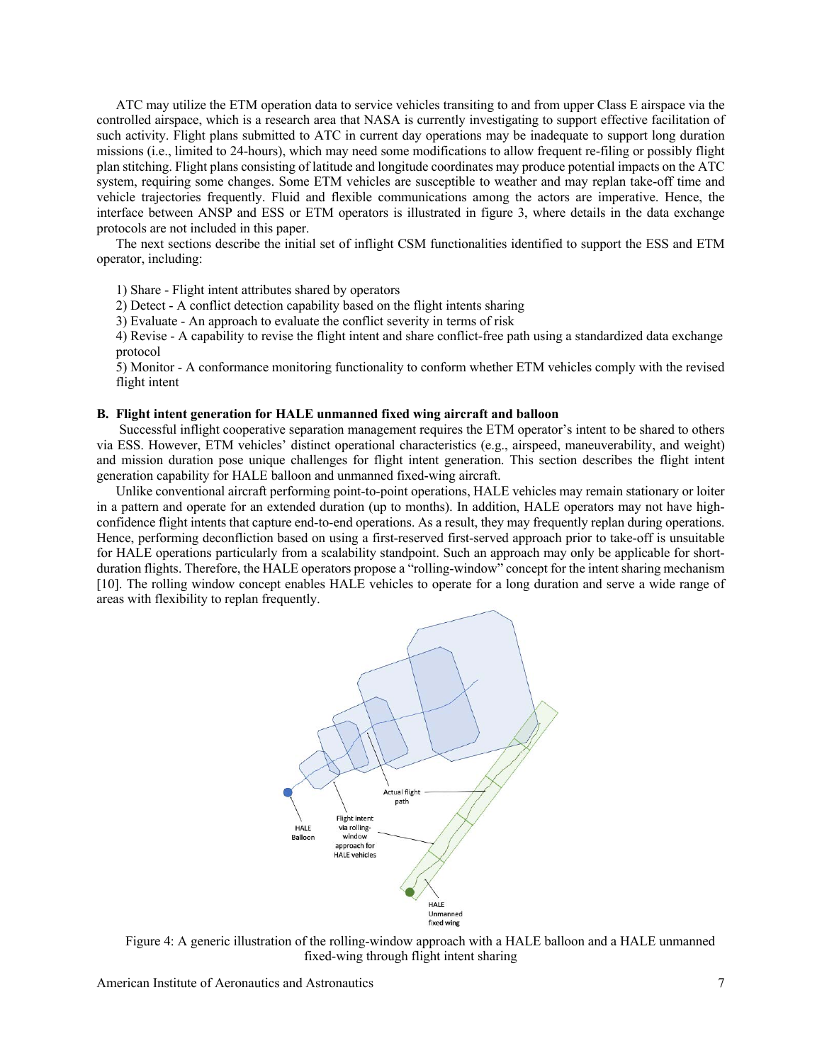ATC may utilize the ETM operation data to service vehicles transiting to and from upper Class E airspace via the controlled airspace, which is a research area that NASA is currently investigating to support effective facilitation of such activity. Flight plans submitted to ATC in current day operations may be inadequate to support long duration missions (i.e., limited to 24-hours), which may need some modifications to allow frequent re-filing or possibly flight plan stitching. Flight plans consisting of latitude and longitude coordinates may produce potential impacts on the ATC system, requiring some changes. Some ETM vehicles are susceptible to weather and may replan take-off time and vehicle trajectories frequently. Fluid and flexible communications among the actors are imperative. Hence, the interface between ANSP and ESS or ETM operators is illustrated in figure 3, where details in the data exchange protocols are not included in this paper.

The next sections describe the initial set of inflight CSM functionalities identified to support the ESS and ETM operator, including:

1) Share - Flight intent attributes shared by operators

2) Detect - A conflict detection capability based on the flight intents sharing

3) Evaluate - An approach to evaluate the conflict severity in terms of risk

4) Revise - A capability to revise the flight intent and share conflict-free path using a standardized data exchange protocol

5) Monitor - A conformance monitoring functionality to conform whether ETM vehicles comply with the revised flight intent

#### **B. Flight intent generation for HALE unmanned fixed wing aircraft and balloon**

Successful inflight cooperative separation management requires the ETM operator's intent to be shared to others via ESS. However, ETM vehicles' distinct operational characteristics (e.g., airspeed, maneuverability, and weight) and mission duration pose unique challenges for flight intent generation. This section describes the flight intent generation capability for HALE balloon and unmanned fixed-wing aircraft.

Unlike conventional aircraft performing point-to-point operations, HALE vehicles may remain stationary or loiter in a pattern and operate for an extended duration (up to months). In addition, HALE operators may not have highconfidence flight intents that capture end-to-end operations. As a result, they may frequently replan during operations. Hence, performing deconfliction based on using a first-reserved first-served approach prior to take-off is unsuitable for HALE operations particularly from a scalability standpoint. Such an approach may only be applicable for shortduration flights. Therefore, the HALE operators propose a "rolling-window" concept for the intent sharing mechanism [10]. The rolling window concept enables HALE vehicles to operate for a long duration and serve a wide range of areas with flexibility to replan frequently.



Figure 4: A generic illustration of the rolling-window approach with a HALE balloon and a HALE unmanned fixed-wing through flight intent sharing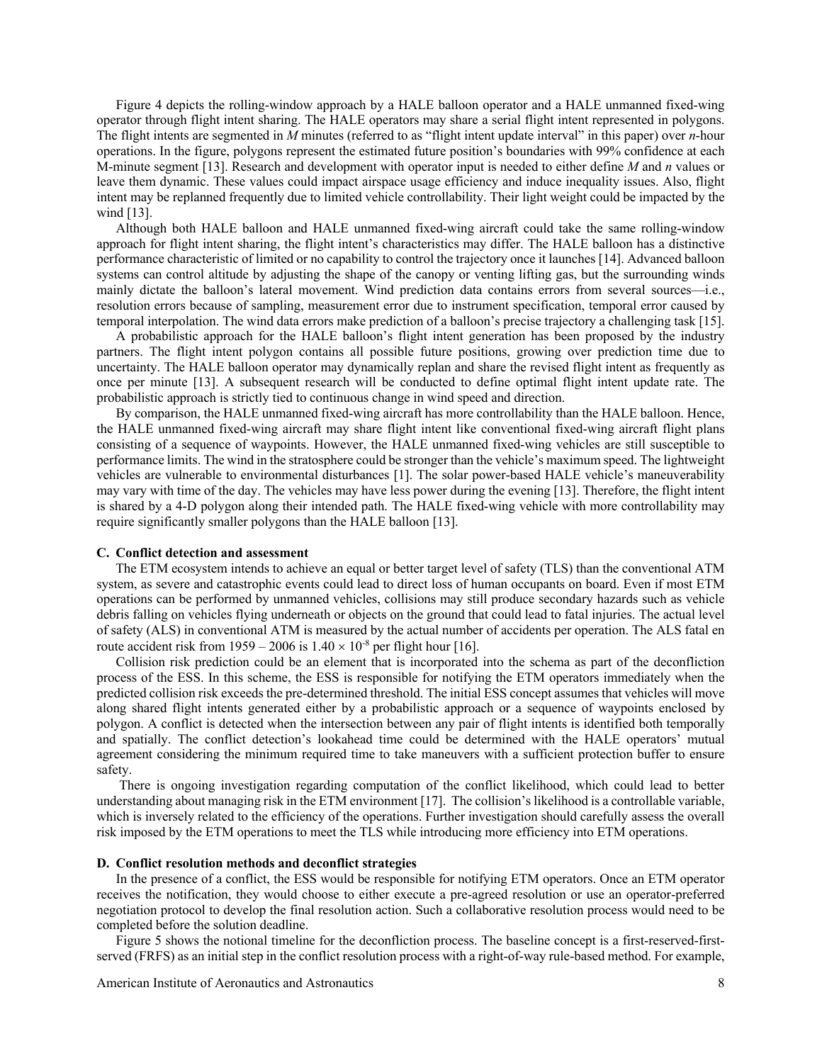Figure 4 depicts the rolling-window approach by a HALE balloon operator and a HALE unmanned fixed-wing operator through flight intent sharing. The HALE operators may share a serial flight intent represented in polygons. The flight intents are segmented in *M* minutes (referred to as "flight intent update interval" in this paper) over *n*-hour operations. In the figure, polygons represent the estimated future position's boundaries with 99% confidence at each M-minute segment [13]. Research and development with operator input is needed to either define *M* and *n* values or leave them dynamic. These values could impact airspace usage efficiency and induce inequality issues. Also, flight intent may be replanned frequently due to limited vehicle controllability. Their light weight could be impacted by the wind [13].

Although both HALE balloon and HALE unmanned fixed-wing aircraft could take the same rolling-window approach for flight intent sharing, the flight intent's characteristics may differ. The HALE balloon has a distinctive performance characteristic of limited or no capability to control the trajectory once it launches [14]. Advanced balloon systems can control altitude by adjusting the shape of the canopy or venting lifting gas, but the surrounding winds mainly dictate the balloon's lateral movement. Wind prediction data contains errors from several sources—i.e., resolution errors because of sampling, measurement error due to instrument specification, temporal error caused by temporal interpolation. The wind data errors make prediction of a balloon's precise trajectory a challenging task [15].

A probabilistic approach for the HALE balloon's flight intent generation has been proposed by the industry partners. The flight intent polygon contains all possible future positions, growing over prediction time due to uncertainty. The HALE balloon operator may dynamically replan and share the revised flight intent as frequently as once per minute [13]. A subsequent research will be conducted to define optimal flight intent update rate. The probabilistic approach is strictly tied to continuous change in wind speed and direction.

By comparison, the HALE unmanned fixed-wing aircraft has more controllability than the HALE balloon. Hence, the HALE unmanned fixed-wing aircraft may share flight intent like conventional fixed-wing aircraft flight plans consisting of a sequence of waypoints. However, the HALE unmanned fixed-wing vehicles are still susceptible to performance limits. The wind in the stratosphere could be stronger than the vehicle's maximum speed. The lightweight vehicles are vulnerable to environmental disturbances [1]. The solar power-based HALE vehicle's maneuverability may vary with time of the day. The vehicles may have less power during the evening [13]. Therefore, the flight intent is shared by a 4-D polygon along their intended path. The HALE fixed-wing vehicle with more controllability may require significantly smaller polygons than the HALE balloon [13].

# **C. Conflict detection and assessment**

The ETM ecosystem intends to achieve an equal or better target level of safety (TLS) than the conventional ATM system, as severe and catastrophic events could lead to direct loss of human occupants on board. Even if most ETM operations can be performed by unmanned vehicles, collisions may still produce secondary hazards such as vehicle debris falling on vehicles flying underneath or objects on the ground that could lead to fatal injuries. The actual level of safety (ALS) in conventional ATM is measured by the actual number of accidents per operation. The ALS fatal en route accident risk from 1959 – 2006 is  $1.40 \times 10^{-8}$  per flight hour [16].

Collision risk prediction could be an element that is incorporated into the schema as part of the deconfliction process of the ESS. In this scheme, the ESS is responsible for notifying the ETM operators immediately when the predicted collision risk exceeds the pre-determined threshold. The initial ESS concept assumes that vehicles will move along shared flight intents generated either by a probabilistic approach or a sequence of waypoints enclosed by polygon. A conflict is detected when the intersection between any pair of flight intents is identified both temporally and spatially. The conflict detection's lookahead time could be determined with the HALE operators' mutual agreement considering the minimum required time to take maneuvers with a sufficient protection buffer to ensure safety.

There is ongoing investigation regarding computation of the conflict likelihood, which could lead to better understanding about managing risk in the ETM environment [17]. The collision's likelihood is a controllable variable, which is inversely related to the efficiency of the operations. Further investigation should carefully assess the overall risk imposed by the ETM operations to meet the TLS while introducing more efficiency into ETM operations.

#### **D. Conflict resolution methods and deconflict strategies**

In the presence of a conflict, the ESS would be responsible for notifying ETM operators. Once an ETM operator receives the notification, they would choose to either execute a pre-agreed resolution or use an operator-preferred negotiation protocol to develop the final resolution action. Such a collaborative resolution process would need to be completed before the solution deadline.

Figure 5 shows the notional timeline for the deconfliction process. The baseline concept is a first-reserved-firstserved (FRFS) as an initial step in the conflict resolution process with a right-of-way rule-based method. For example,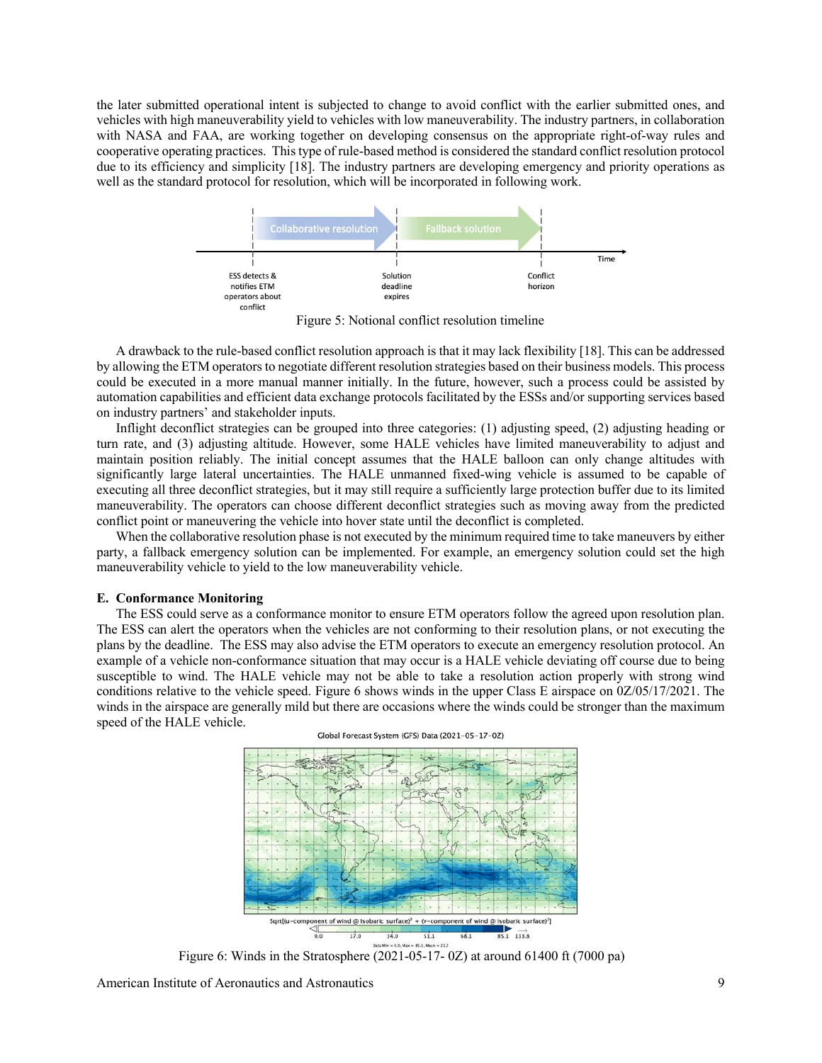the later submitted operational intent is subjected to change to avoid conflict with the earlier submitted ones, and vehicles with high maneuverability yield to vehicles with low maneuverability. The industry partners, in collaboration with NASA and FAA, are working together on developing consensus on the appropriate right-of-way rules and cooperative operating practices. This type of rule-based method is considered the standard conflict resolution protocol due to its efficiency and simplicity [18]. The industry partners are developing emergency and priority operations as well as the standard protocol for resolution, which will be incorporated in following work.



Figure 5: Notional conflict resolution timeline

A drawback to the rule-based conflict resolution approach is that it may lack flexibility [18]. This can be addressed by allowing the ETM operators to negotiate different resolution strategies based on their business models. This process could be executed in a more manual manner initially. In the future, however, such a process could be assisted by automation capabilities and efficient data exchange protocols facilitated by the ESSs and/or supporting services based on industry partners' and stakeholder inputs.

Inflight deconflict strategies can be grouped into three categories: (1) adjusting speed, (2) adjusting heading or turn rate, and (3) adjusting altitude. However, some HALE vehicles have limited maneuverability to adjust and maintain position reliably. The initial concept assumes that the HALE balloon can only change altitudes with significantly large lateral uncertainties. The HALE unmanned fixed-wing vehicle is assumed to be capable of executing all three deconflict strategies, but it may still require a sufficiently large protection buffer due to its limited maneuverability. The operators can choose different deconflict strategies such as moving away from the predicted conflict point or maneuvering the vehicle into hover state until the deconflict is completed.

When the collaborative resolution phase is not executed by the minimum required time to take maneuvers by either party, a fallback emergency solution can be implemented. For example, an emergency solution could set the high maneuverability vehicle to yield to the low maneuverability vehicle.

### **E. Conformance Monitoring**

The ESS could serve as a conformance monitor to ensure ETM operators follow the agreed upon resolution plan. The ESS can alert the operators when the vehicles are not conforming to their resolution plans, or not executing the plans by the deadline. The ESS may also advise the ETM operators to execute an emergency resolution protocol. An example of a vehicle non-conformance situation that may occur is a HALE vehicle deviating off course due to being susceptible to wind. The HALE vehicle may not be able to take a resolution action properly with strong wind conditions relative to the vehicle speed. Figure 6 shows winds in the upper Class E airspace on 0Z/05/17/2021. The winds in the airspace are generally mild but there are occasions where the winds could be stronger than the maximum speed of the HALE vehicle.



Global Forecast System (GFS) Data (2021-05-17-0Z)

Figure 6: Winds in the Stratosphere  $(2021-05-17-0Z)$  at around 61400 ft (7000 pa)

American Institute of Aeronautics and Astronautics 9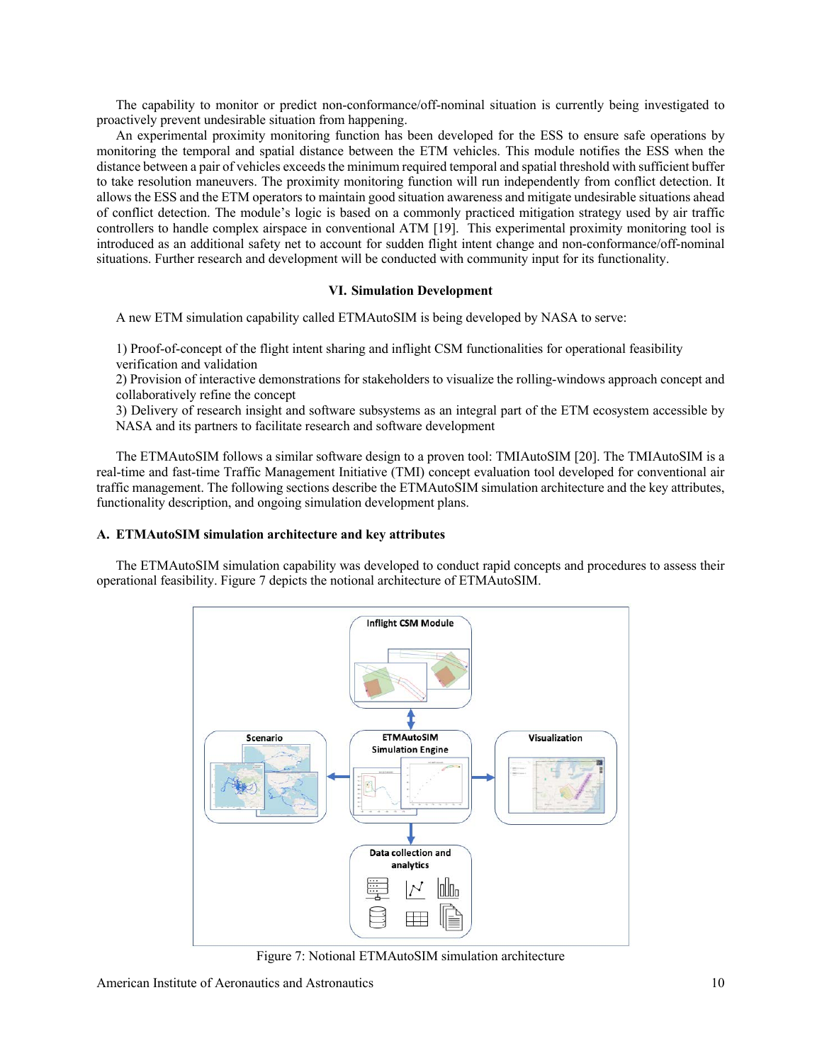The capability to monitor or predict non-conformance/off-nominal situation is currently being investigated to proactively prevent undesirable situation from happening.

An experimental proximity monitoring function has been developed for the ESS to ensure safe operations by monitoring the temporal and spatial distance between the ETM vehicles. This module notifies the ESS when the distance between a pair of vehicles exceeds the minimum required temporal and spatial threshold with sufficient buffer to take resolution maneuvers. The proximity monitoring function will run independently from conflict detection. It allows the ESS and the ETM operators to maintain good situation awareness and mitigate undesirable situations ahead of conflict detection. The module's logic is based on a commonly practiced mitigation strategy used by air traffic controllers to handle complex airspace in conventional ATM [19]. This experimental proximity monitoring tool is introduced as an additional safety net to account for sudden flight intent change and non-conformance/off-nominal situations. Further research and development will be conducted with community input for its functionality.

## **VI. Simulation Development**

A new ETM simulation capability called ETMAutoSIM is being developed by NASA to serve:

1) Proof-of-concept of the flight intent sharing and inflight CSM functionalities for operational feasibility verification and validation

2) Provision of interactive demonstrations for stakeholders to visualize the rolling-windows approach concept and collaboratively refine the concept

3) Delivery of research insight and software subsystems as an integral part of the ETM ecosystem accessible by NASA and its partners to facilitate research and software development

The ETMAutoSIM follows a similar software design to a proven tool: TMIAutoSIM [20]. The TMIAutoSIM is a real-time and fast-time Traffic Management Initiative (TMI) concept evaluation tool developed for conventional air traffic management. The following sections describe the ETMAutoSIM simulation architecture and the key attributes, functionality description, and ongoing simulation development plans.

## **A. ETMAutoSIM simulation architecture and key attributes**

The ETMAutoSIM simulation capability was developed to conduct rapid concepts and procedures to assess their operational feasibility. Figure 7 depicts the notional architecture of ETMAutoSIM.



Figure 7: Notional ETMAutoSIM simulation architecture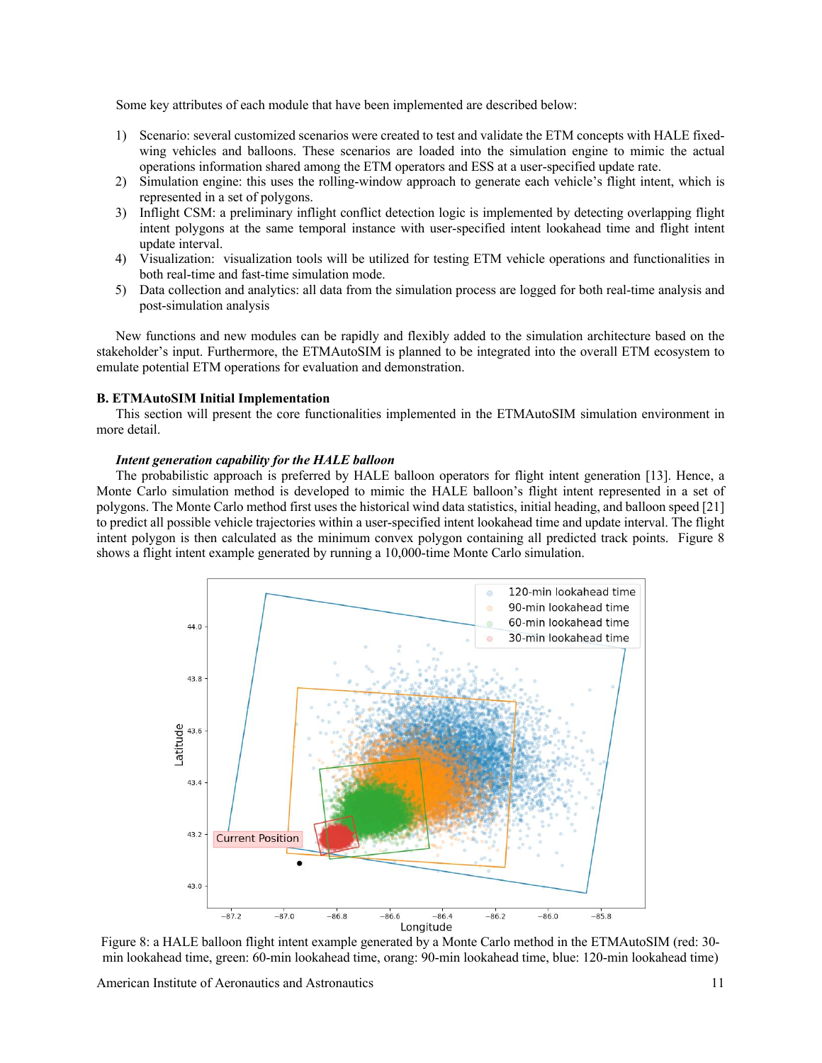Some key attributes of each module that have been implemented are described below:

- 1) Scenario: several customized scenarios were created to test and validate the ETM concepts with HALE fixedwing vehicles and balloons. These scenarios are loaded into the simulation engine to mimic the actual operations information shared among the ETM operators and ESS at a user-specified update rate.
- 2) Simulation engine: this uses the rolling-window approach to generate each vehicle's flight intent, which is represented in a set of polygons.
- 3) Inflight CSM: a preliminary inflight conflict detection logic is implemented by detecting overlapping flight intent polygons at the same temporal instance with user-specified intent lookahead time and flight intent update interval.
- 4) Visualization: visualization tools will be utilized for testing ETM vehicle operations and functionalities in both real-time and fast-time simulation mode.
- 5) Data collection and analytics: all data from the simulation process are logged for both real-time analysis and post-simulation analysis

New functions and new modules can be rapidly and flexibly added to the simulation architecture based on the stakeholder's input. Furthermore, the ETMAutoSIM is planned to be integrated into the overall ETM ecosystem to emulate potential ETM operations for evaluation and demonstration.

### **B. ETMAutoSIM Initial Implementation**

This section will present the core functionalities implemented in the ETMAutoSIM simulation environment in more detail.

## *Intent generation capability for the HALE balloon*

The probabilistic approach is preferred by HALE balloon operators for flight intent generation [13]. Hence, a Monte Carlo simulation method is developed to mimic the HALE balloon's flight intent represented in a set of polygons. The Monte Carlo method first uses the historical wind data statistics, initial heading, and balloon speed [21] to predict all possible vehicle trajectories within a user-specified intent lookahead time and update interval. The flight intent polygon is then calculated as the minimum convex polygon containing all predicted track points. Figure 8 shows a flight intent example generated by running a 10,000-time Monte Carlo simulation.



Figure 8: a HALE balloon flight intent example generated by a Monte Carlo method in the ETMAutoSIM (red: 30 min lookahead time, green: 60-min lookahead time, orang: 90-min lookahead time, blue: 120-min lookahead time)

American Institute of Aeronautics and Astronautics 11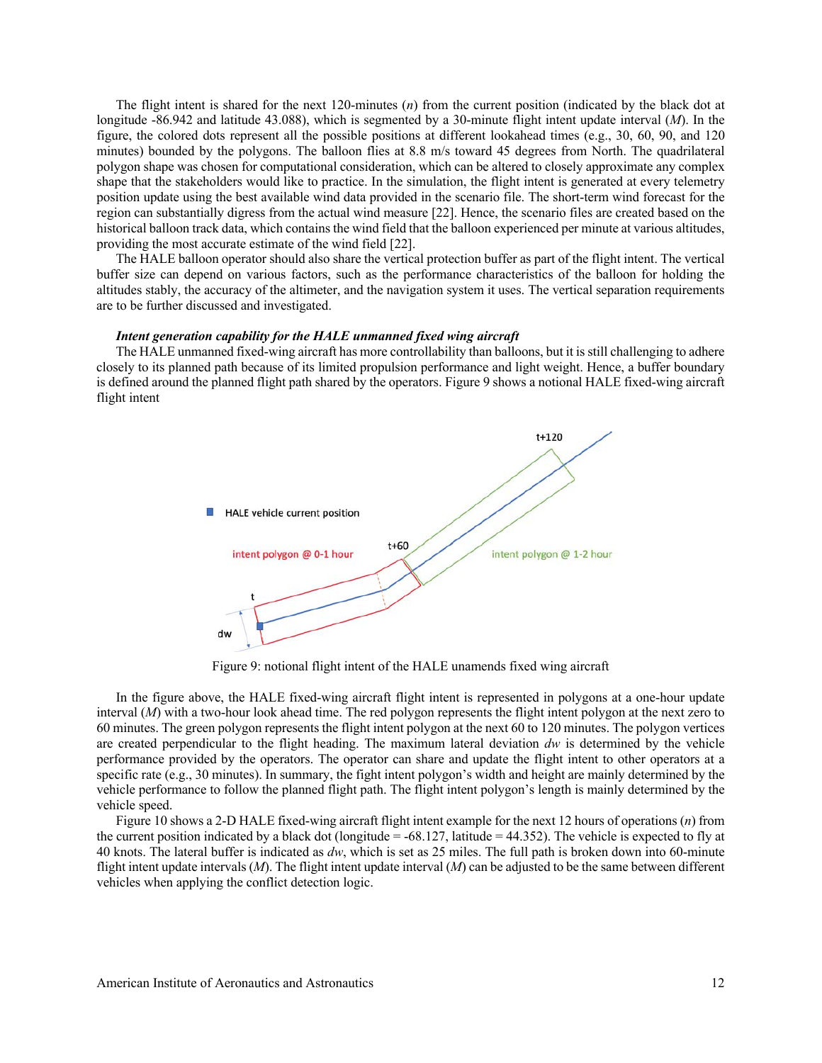The flight intent is shared for the next 120-minutes (*n*) from the current position (indicated by the black dot at longitude -86.942 and latitude 43.088), which is segmented by a 30-minute flight intent update interval (*M*). In the figure, the colored dots represent all the possible positions at different lookahead times (e.g., 30, 60, 90, and 120 minutes) bounded by the polygons. The balloon flies at 8.8 m/s toward 45 degrees from North. The quadrilateral polygon shape was chosen for computational consideration, which can be altered to closely approximate any complex shape that the stakeholders would like to practice. In the simulation, the flight intent is generated at every telemetry position update using the best available wind data provided in the scenario file. The short-term wind forecast for the region can substantially digress from the actual wind measure [22]. Hence, the scenario files are created based on the historical balloon track data, which contains the wind field that the balloon experienced per minute at various altitudes, providing the most accurate estimate of the wind field [22].

The HALE balloon operator should also share the vertical protection buffer as part of the flight intent. The vertical buffer size can depend on various factors, such as the performance characteristics of the balloon for holding the altitudes stably, the accuracy of the altimeter, and the navigation system it uses. The vertical separation requirements are to be further discussed and investigated.

#### *Intent generation capability for the HALE unmanned fixed wing aircraft*

The HALE unmanned fixed-wing aircraft has more controllability than balloons, but it is still challenging to adhere closely to its planned path because of its limited propulsion performance and light weight. Hence, a buffer boundary is defined around the planned flight path shared by the operators. Figure 9 shows a notional HALE fixed-wing aircraft flight intent



Figure 9: notional flight intent of the HALE unamends fixed wing aircraft

In the figure above, the HALE fixed-wing aircraft flight intent is represented in polygons at a one-hour update interval (*M*) with a two-hour look ahead time. The red polygon represents the flight intent polygon at the next zero to 60 minutes. The green polygon represents the flight intent polygon at the next 60 to 120 minutes. The polygon vertices are created perpendicular to the flight heading. The maximum lateral deviation *dw* is determined by the vehicle performance provided by the operators. The operator can share and update the flight intent to other operators at a specific rate (e.g., 30 minutes). In summary, the fight intent polygon's width and height are mainly determined by the vehicle performance to follow the planned flight path. The flight intent polygon's length is mainly determined by the vehicle speed.

Figure 10 shows a 2-D HALE fixed-wing aircraft flight intent example for the next 12 hours of operations (*n*) from the current position indicated by a black dot (longitude  $= -68.127$ , latitude  $= 44.352$ ). The vehicle is expected to fly at 40 knots. The lateral buffer is indicated as *dw*, which is set as 25 miles. The full path is broken down into 60-minute flight intent update intervals (*M*). The flight intent update interval (*M*) can be adjusted to be the same between different vehicles when applying the conflict detection logic.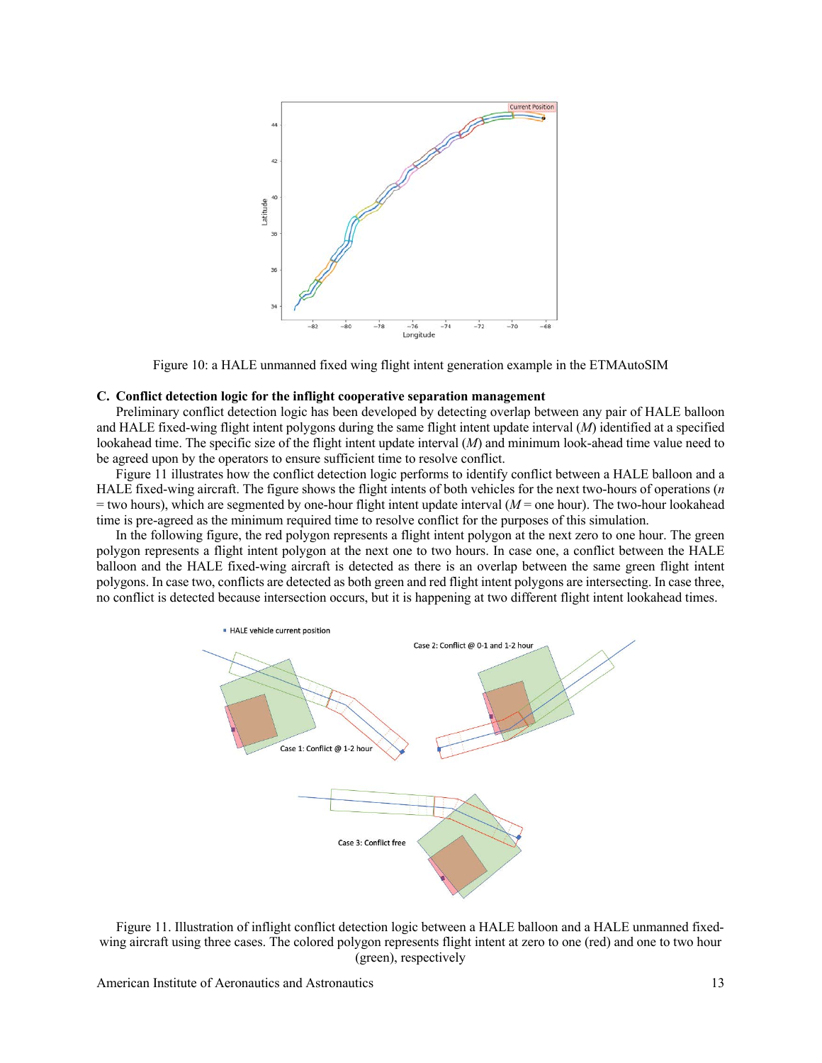

Figure 10: a HALE unmanned fixed wing flight intent generation example in the ETMAutoSIM

## **C. Conflict detection logic for the inflight cooperative separation management**

Preliminary conflict detection logic has been developed by detecting overlap between any pair of HALE balloon and HALE fixed-wing flight intent polygons during the same flight intent update interval (*M*) identified at a specified lookahead time. The specific size of the flight intent update interval (*M*) and minimum look-ahead time value need to be agreed upon by the operators to ensure sufficient time to resolve conflict.

Figure 11 illustrates how the conflict detection logic performs to identify conflict between a HALE balloon and a HALE fixed-wing aircraft. The figure shows the flight intents of both vehicles for the next two-hours of operations (*n*   $=$  two hours), which are segmented by one-hour flight intent update interval ( $M$  = one hour). The two-hour lookahead time is pre-agreed as the minimum required time to resolve conflict for the purposes of this simulation.

In the following figure, the red polygon represents a flight intent polygon at the next zero to one hour. The green polygon represents a flight intent polygon at the next one to two hours. In case one, a conflict between the HALE balloon and the HALE fixed-wing aircraft is detected as there is an overlap between the same green flight intent polygons. In case two, conflicts are detected as both green and red flight intent polygons are intersecting. In case three, no conflict is detected because intersection occurs, but it is happening at two different flight intent lookahead times.



Figure 11. Illustration of inflight conflict detection logic between a HALE balloon and a HALE unmanned fixedwing aircraft using three cases. The colored polygon represents flight intent at zero to one (red) and one to two hour (green), respectively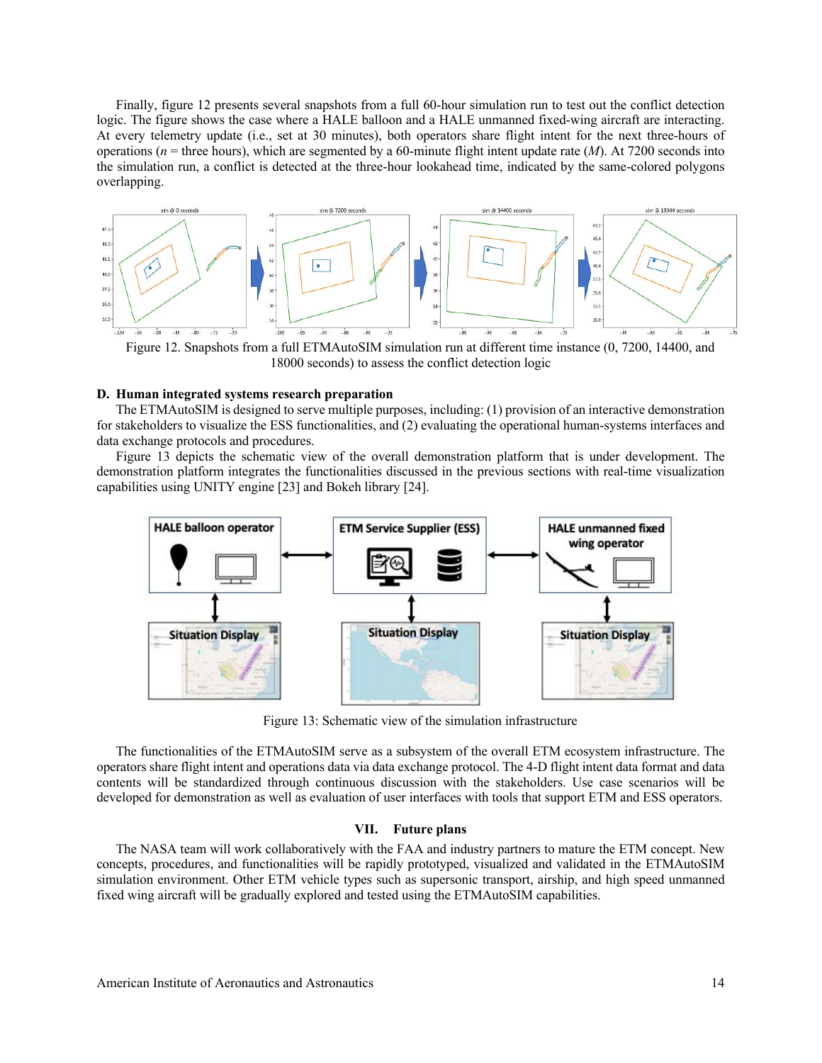Finally, figure 12 presents several snapshots from a full 60-hour simulation run to test out the conflict detection logic. The figure shows the case where a HALE balloon and a HALE unmanned fixed-wing aircraft are interacting. At every telemetry update (i.e., set at 30 minutes), both operators share flight intent for the next three-hours of operations ( $n =$  three hours), which are segmented by a 60-minute flight intent update rate ( $M$ ). At 7200 seconds into the simulation run, a conflict is detected at the three-hour lookahead time, indicated by the same-colored polygons overlapping.



Figure 12. Snapshots from a full ETMAutoSIM simulation run at different time instance (0, 7200, 14400, and 18000 seconds) to assess the conflict detection logic

# **D. Human integrated systems research preparation**

The ETMAutoSIM is designed to serve multiple purposes, including: (1) provision of an interactive demonstration for stakeholders to visualize the ESS functionalities, and (2) evaluating the operational human-systems interfaces and data exchange protocols and procedures.

Figure 13 depicts the schematic view of the overall demonstration platform that is under development. The demonstration platform integrates the functionalities discussed in the previous sections with real-time visualization capabilities using UNITY engine [23] and Bokeh library [24].



Figure 13: Schematic view of the simulation infrastructure

The functionalities of the ETMAutoSIM serve as a subsystem of the overall ETM ecosystem infrastructure. The operators share flight intent and operations data via data exchange protocol. The 4-D flight intent data format and data contents will be standardized through continuous discussion with the stakeholders. Use case scenarios will be developed for demonstration as well as evaluation of user interfaces with tools that support ETM and ESS operators.

#### **VII. Future plans**

The NASA team will work collaboratively with the FAA and industry partners to mature the ETM concept. New concepts, procedures, and functionalities will be rapidly prototyped, visualized and validated in the ETMAutoSIM simulation environment. Other ETM vehicle types such as supersonic transport, airship, and high speed unmanned fixed wing aircraft will be gradually explored and tested using the ETMAutoSIM capabilities.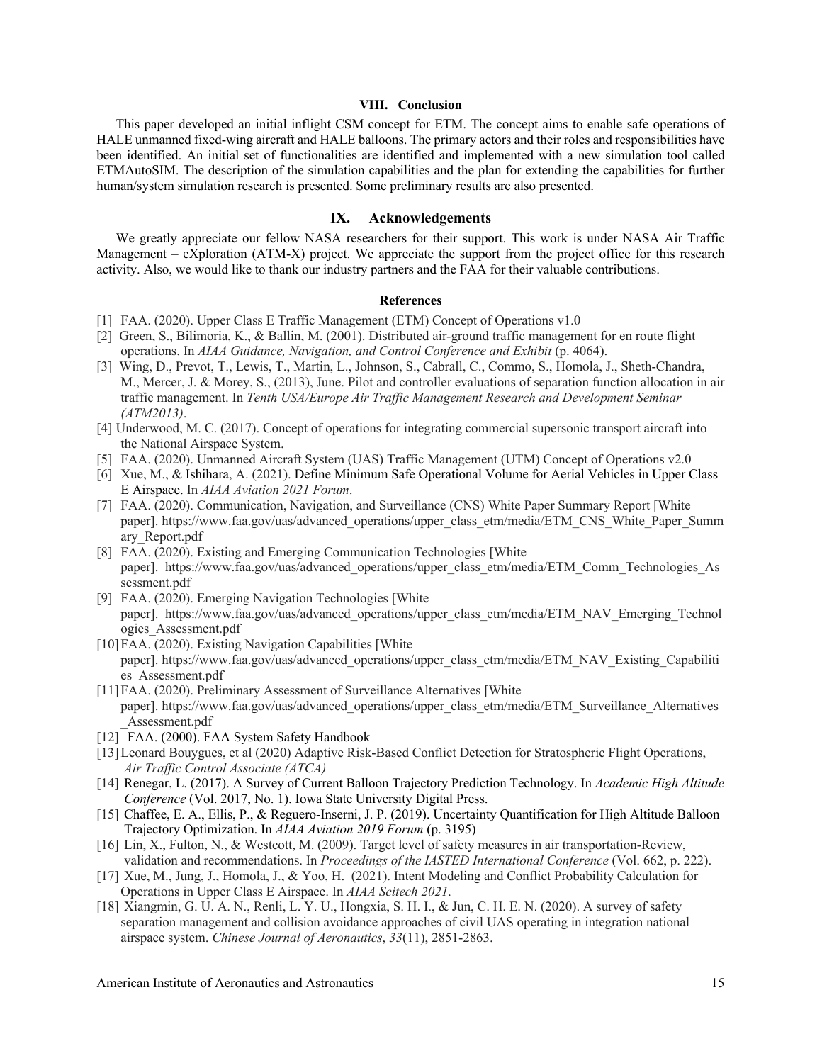# **VIII. Conclusion**

This paper developed an initial inflight CSM concept for ETM. The concept aims to enable safe operations of HALE unmanned fixed-wing aircraft and HALE balloons. The primary actors and their roles and responsibilities have been identified. An initial set of functionalities are identified and implemented with a new simulation tool called ETMAutoSIM. The description of the simulation capabilities and the plan for extending the capabilities for further human/system simulation research is presented. Some preliminary results are also presented.

## **IX. Acknowledgements**

We greatly appreciate our fellow NASA researchers for their support. This work is under NASA Air Traffic Management – eXploration (ATM-X) project. We appreciate the support from the project office for this research activity. Also, we would like to thank our industry partners and the FAA for their valuable contributions.

#### **References**

- [1] FAA. (2020). Upper Class E Traffic Management (ETM) Concept of Operations v1.0
- [2] Green, S., Bilimoria, K., & Ballin, M. (2001). Distributed air-ground traffic management for en route flight operations. In *AIAA Guidance, Navigation, and Control Conference and Exhibit* (p. 4064).
- [3] Wing, D., Prevot, T., Lewis, T., Martin, L., Johnson, S., Cabrall, C., Commo, S., Homola, J., Sheth-Chandra, M., Mercer, J. & Morey, S., (2013), June. Pilot and controller evaluations of separation function allocation in air traffic management. In *Tenth USA/Europe Air Traffic Management Research and Development Seminar (ATM2013)*.
- [4] Underwood, M. C. (2017). Concept of operations for integrating commercial supersonic transport aircraft into the National Airspace System.
- [5] FAA. (2020). Unmanned Aircraft System (UAS) Traffic Management (UTM) Concept of Operations v2.0
- [6] Xue, M., & Ishihara, A. (2021). Define Minimum Safe Operational Volume for Aerial Vehicles in Upper Class E Airspace. In *AIAA Aviation 2021 Forum*.
- [7] FAA. (2020). Communication, Navigation, and Surveillance (CNS) White Paper Summary Report [White paper]. https://www.faa.gov/uas/advanced\_operations/upper\_class\_etm/media/ETM\_CNS\_White\_Paper\_Summ ary\_Report.pdf
- [8] FAA. (2020). Existing and Emerging Communication Technologies [White paper]. https://www.faa.gov/uas/advanced\_operations/upper\_class\_etm/media/ETM\_Comm\_Technologies\_As sessment.pdf
- [9] FAA. (2020). Emerging Navigation Technologies [White paper]. https://www.faa.gov/uas/advanced\_operations/upper\_class\_etm/media/ETM\_NAV\_Emerging\_Technol ogies\_Assessment.pdf
- [10]FAA. (2020). Existing Navigation Capabilities [White paper]. https://www.faa.gov/uas/advanced\_operations/upper\_class\_etm/media/ETM\_NAV\_Existing\_Capabiliti es\_Assessment.pdf
- [11]FAA. (2020). Preliminary Assessment of Surveillance Alternatives [White paper]. https://www.faa.gov/uas/advanced\_operations/upper\_class\_etm/media/ETM\_Surveillance\_Alternatives \_Assessment.pdf
- [12] FAA. (2000). FAA System Safety Handbook
- [13]Leonard Bouygues, et al (2020) Adaptive Risk-Based Conflict Detection for Stratospheric Flight Operations, *Air Traffic Control Associate (ATCA)*
- [14] Renegar, L. (2017). A Survey of Current Balloon Trajectory Prediction Technology. In *Academic High Altitude Conference* (Vol. 2017, No. 1). Iowa State University Digital Press.
- [15] Chaffee, E. A., Ellis, P., & Reguero-Inserni, J. P. (2019). Uncertainty Quantification for High Altitude Balloon Trajectory Optimization. In *AIAA Aviation 2019 Forum* (p. 3195)
- [16] Lin, X., Fulton, N., & Westcott, M. (2009). Target level of safety measures in air transportation-Review, validation and recommendations. In *Proceedings of the IASTED International Conference* (Vol. 662, p. 222).
- [17] Xue, M., Jung, J., Homola, J., & Yoo, H. (2021). Intent Modeling and Conflict Probability Calculation for Operations in Upper Class E Airspace. In *AIAA Scitech 2021*.
- [18] Xiangmin, G. U. A. N., Renli, L. Y. U., Hongxia, S. H. I., & Jun, C. H. E. N. (2020). A survey of safety separation management and collision avoidance approaches of civil UAS operating in integration national airspace system. *Chinese Journal of Aeronautics*, *33*(11), 2851-2863.